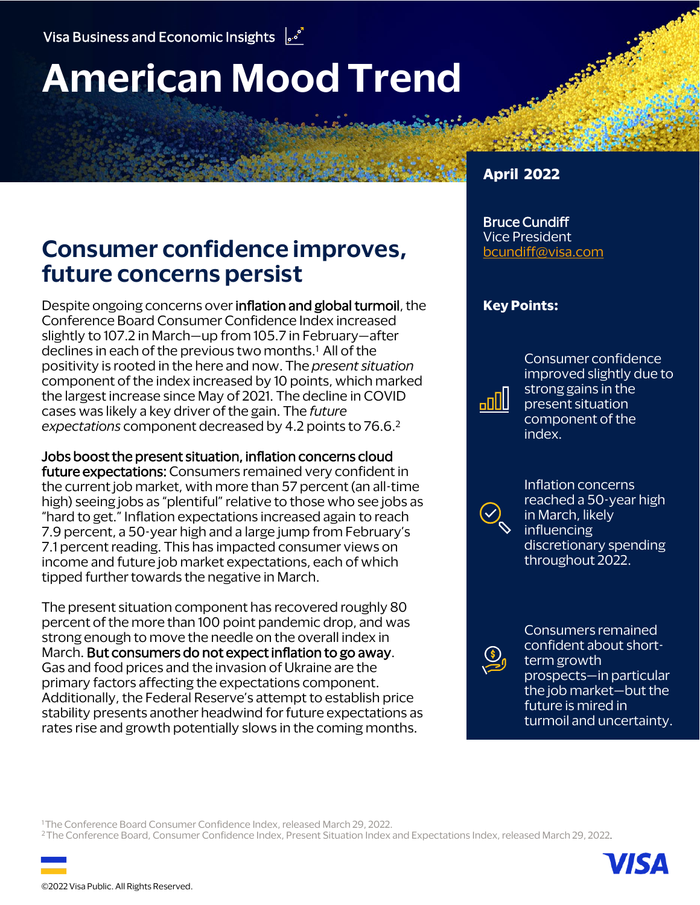# **American Mood Trend**

# **Consumer confidence improves, future concerns persist**

Despite ongoing concerns over **inflation and global turmoil**, the Conference Board Consumer Confidence Index increased slightly to 107.2 in March—up from 105.7 in February—after declines in each of the previous two months.<sup>1</sup> All of the positivity is rooted in the here and now. The *present situation*  component of the index increased by 10 points, which marked the largest increase since May of 2021. The decline in COVID cases was likely a key driver of the gain. The *future expectations* component decreased by 4.2 points to 76.6. 2

Jobs boost the present situation, inflation concerns cloud future expectations: Consumers remained very confident in the current job market, with more than 57 percent (an all-time high) seeing jobs as "plentiful" relative to those who see jobs as "hard to get." Inflation expectations increased again to reach 7.9 percent, a 50-year high and a large jump from February's 7.1 percent reading. This has impacted consumer views on income and future job market expectations, each of which tipped further towards the negative in March.

The present situation component has recovered roughly 80 percent of the more than 100 point pandemic drop, and was strong enough to move the needle on the overall index in March. But consumers do not expect inflation to go away. Gas and food prices and the invasion of Ukraine are the primary factors affecting the expectations component. Additionally, the Federal Reserve's attempt to establish price stability presents another headwind for future expectations as rates rise and growth potentially slows in the coming months.

### **April 2022**

### Bruce Cundiff Vice President

[bcundiff@visa.com](mailto:bcundiff@visa.com?subject=American%20Mood%20Trend)

### **Key Points:**

Consumer confidence improved slightly due to strong gains in the present situation component of the index.



ullaa

Inflation concerns reached a 50-year high in March, likely influencing discretionary spending throughout 2022.



Consumers remained confident about shortterm growth prospects—in particular the job market—but the future is mired in turmoil and uncertainty.

<sup>1</sup>The Conference Board Consumer Confidence Index, released March 29, 2022.

2 The Conference Board, Consumer Confidence Index, Present Situation Index and Expectations Index, released March 29, 2022.

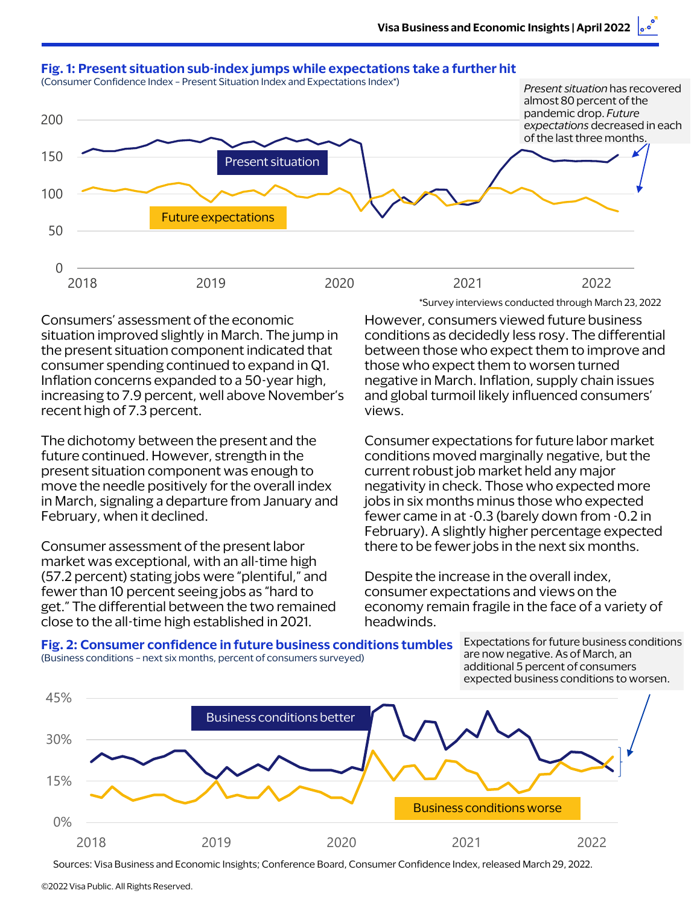

Consumers' assessment of the economic situation improved slightly in March. The jump in the present situation component indicated that consumer spending continued to expand in Q1. Inflation concerns expanded to a 50-year high, increasing to 7.9 percent, well above November's recent high of 7.3 percent.

The dichotomy between the present and the future continued. However, strength in the present situation component was enough to move the needle positively for the overall index in March, signaling a departure from January and February, when it declined.

Consumer assessment of the present labor market was exceptional, with an all-time high (57.2 percent) stating jobs were "plentiful," and fewer than 10 percent seeing jobs as "hard to get." The differential between the two remained close to the all-time high established in 2021.

\*Survey interviews conducted through March 23, 2022

However, consumers viewed future business conditions as decidedly less rosy. The differential between those who expect them to improve and those who expect them to worsen turned negative in March. Inflation, supply chain issues and global turmoil likely influenced consumers' views.

Consumer expectations for future labor market conditions moved marginally negative, but the current robust job market held any major negativity in check. Those who expected more jobs in six months minus those who expected fewer came in at -0.3 (barely down from -0.2 in February). A slightly higher percentage expected there to be fewer jobs in the next six months.

Despite the increase in the overall index, consumer expectations and views on the economy remain fragile in the face of a variety of headwinds.



Expectations for future business conditions are now negative. As of March, an additional 5 percent of consumers expected business conditions to worsen.



Sources: Visa Business and Economic Insights; Conference Board, Consumer Confidence Index, released March 29, 2022.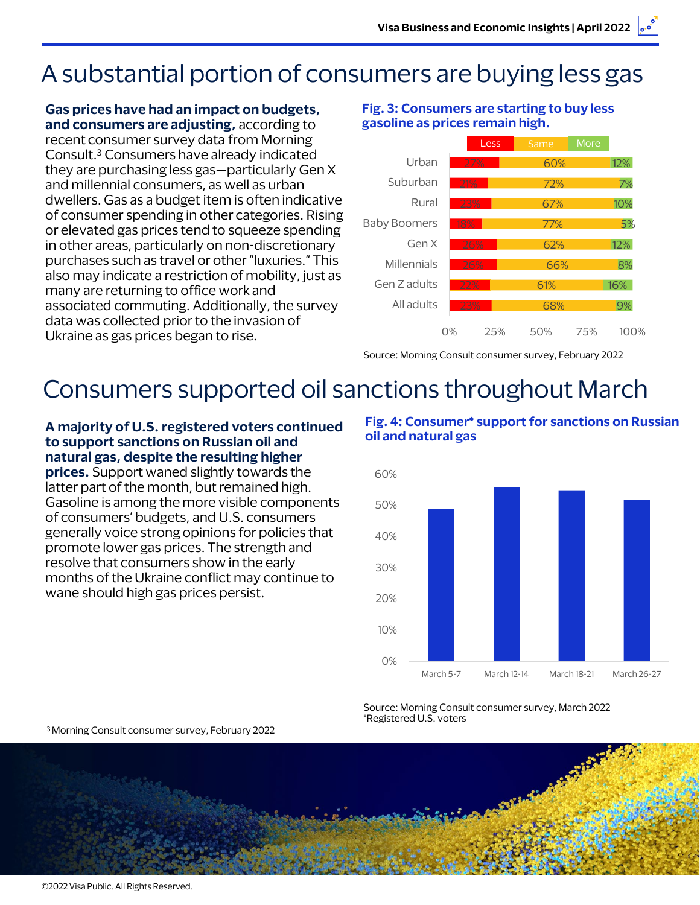# A substantial portion of consumers are buying less gas

**Gas prices have had an impact on budgets, and consumers are adjusting,** according to recent consumer survey data from Morning Consult.<sup>3</sup> Consumers have already indicated they are purchasing less gas—particularly Gen X and millennial consumers, as well as urban dwellers. Gas as a budget item is often indicative of consumer spending in other categories. Rising or elevated gas prices tend to squeeze spending in other areas, particularly on non-discretionary purchases such as travel or other "luxuries." This also may indicate a restriction of mobility, just as many are returning to office work and associated commuting. Additionally, the survey data was collected prior to the invasion of Ukraine as gas prices began to rise.

#### **Fig. 3: Consumers are starting to buy less gasoline as prices remain high.**



Source: Morning Consult consumer survey, February 2022

# Consumers supported oil sanctions throughout March

### **A majority of U.S. registered voters continued to support sanctions on Russian oil and natural gas, despite the resulting higher**

**prices.** Support waned slightly towards the latter part of the month, but remained high. Gasoline is among the more visible components of consumers' budgets, and U.S. consumers generally voice strong opinions for policies that promote lower gas prices. The strength and resolve that consumers show in the early months of the Ukraine conflict may continue to wane should high gas prices persist.



#### **Fig. 4: Consumer\* support for sanctions on Russian oil and natural gas**

Source: Morning Consult consumer survey, March 2022 \*Registered U.S. voters

3Morning Consult consumer survey, February 2022

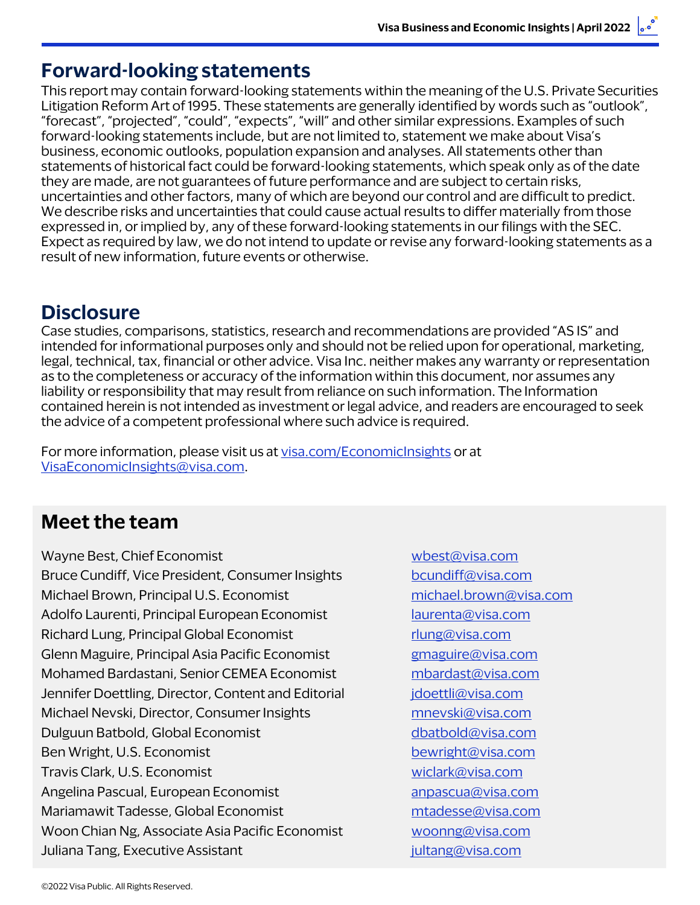### **Forward-looking statements**

This report may contain forward-looking statements within the meaning of the U.S. Private Securities Litigation Reform Art of 1995. These statements are generally identified by words such as "outlook", "forecast", "projected", "could", "expects", "will" and other similar expressions. Examples of such forward-looking statements include, but are not limited to, statement we make about Visa's business, economic outlooks, population expansion and analyses. All statements other than statements of historical fact could be forward-looking statements, which speak only as of the date they are made, are not guarantees of future performance and are subject to certain risks, uncertainties and other factors, many of which are beyond our control and are difficult to predict. We describe risks and uncertainties that could cause actual results to differ materially from those expressed in, or implied by, any of these forward-looking statements in our filings with the SEC. Expect as required by law, we do not intend to update or revise any forward-looking statements as a result of new information, future events or otherwise.

### **Disclosure**

Case studies, comparisons, statistics, research and recommendations are provided "AS IS" and intended for informational purposes only and should not be relied upon for operational, marketing, legal, technical, tax, financial or other advice. Visa Inc. neither makes any warranty or representation as to the completeness or accuracy of the information within this document, nor assumes any liability or responsibility that may result from reliance on such information. The Information contained herein is not intended as investment or legal advice, and readers are encouraged to seek the advice of a competent professional where such advice is required.

For more information, please visit us at [visa.com/EconomicInsights](http://www.visa.com/EconomicInsights) or at [VisaEconomicInsights@visa.com.](mailto:VisaEconomicInsights@visa.com)

# **Meet the team**

Wayne Best, Chief Economist Wayne Best, Chief Economist Bruce Cundiff, Vice President, Consumer Insights [bcundiff@visa.com](mailto:bcundiff@visa.com) Michael Brown, Principal U.S. Economist [michael.brown@visa.com](mailto:michael.brown@visa.com) Adolfo Laurenti, Principal European Economist [laurenta@visa.com](mailto:laurenta@visa.com) Richard Lung, Principal Global Economist richard Lung@visa.com Glenn Maguire, Principal Asia Pacific Economist *[gmaguire@visa.com](mailto:gmaguire@visa.com)* Mohamed Bardastani, Senior CEMEA Economist [mbardast@visa.com](mailto:mbardast@visa.com) Jennifer Doettling, Director, Content and Editorial *[jdoettli@visa.com](mailto:jdoettli@visa.com)* Michael Nevski, Director, Consumer Insights music [mnevski@visa.com](mailto:mnevski@visa.com) Dulguun Batbold, Global Economist [dbatbold@visa.com](mailto:dbatbold@visa.com) Ben Wright, U.S. Economist [bewright@visa.com](mailto:bewright@visa.com) Travis Clark, U.S. Economist [wiclark@visa.com](mailto:wiclark@visa.com) Angelina Pascual, European Economist annual annual annual annual annual annual annual annual annual annual annu Mariamawit Tadesse, Global Economist metal metal [mtadesse@visa.com](mailto:mtadesse@visa.com) Woon Chian Ng, Associate Asia Pacific Economist [woonng@visa.com](mailto:woonng@visa.com) Juliana Tang, Executive Assistant [jultang@visa.com](mailto:jultang@visa.com)